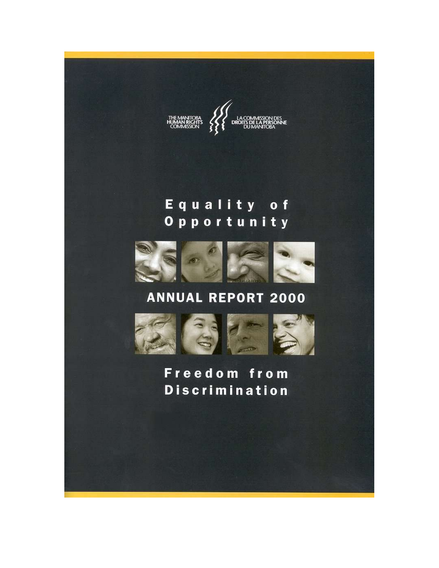

# Equality of Opportunity



# **ANNUAL REPORT 2000**



Freedom from Discrimination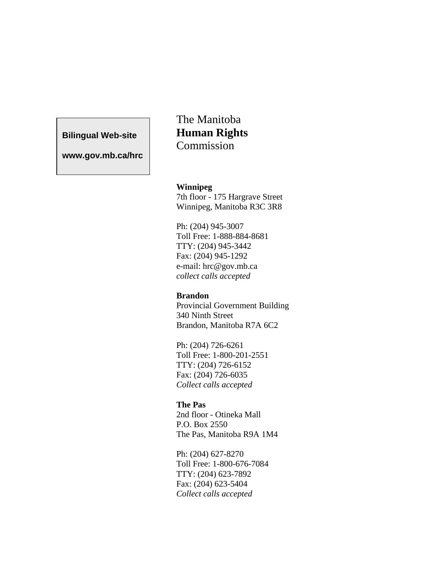**Bilingual Web-site**

**www.gov.mb.ca/hrc**

The Manitoba **Human Rights**  Commission

#### **Winnipeg**

7th floor - 175 Hargrave Street Winnipeg, Manitoba R3C 3R8

Ph: (204) 945-3007 Toll Free: 1-888-884-8681 TTY: (204) 945-3442 Fax: (204) 945-1292 e-mail: hrc@gov.mb.ca *collect calls accepted*

### **Brandon**

Provincial Government Building 340 Ninth Street Brandon, Manitoba R7A 6C2

Ph: (204) 726-6261 Toll Free: 1-800-201-2551 TTY: (204) 726-6152 Fax: (204) 726-6035 *Collect calls accepted*

## **The Pas**

2nd floor - Otineka Mall P.O. Box 2550 The Pas, Manitoba R9A 1M4

Ph: (204) 627-8270 Toll Free: 1-800-676-7084 TTY: (204) 623-7892 Fax: (204) 623-5404 *Collect calls accepted*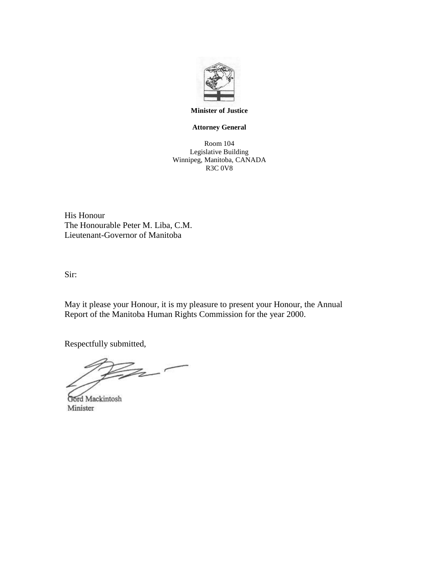

#### **Minister of Justice**

#### **Attorney General**

Room 104 Legislative Building Winnipeg, Manitoba, CANADA R3C 0V8

His Honour The Honourable Peter M. Liba, C.M. Lieutenant-Governor of Manitoba

Sir:

May it please your Honour, it is my pleasure to present your Honour, the Annual Report of the Manitoba Human Rights Commission for the year 2000.

Respectfully submitted,

 $\mathbb{Z}_{\mathbb{Z}}\subset$ 

Gord Mackintosh Minister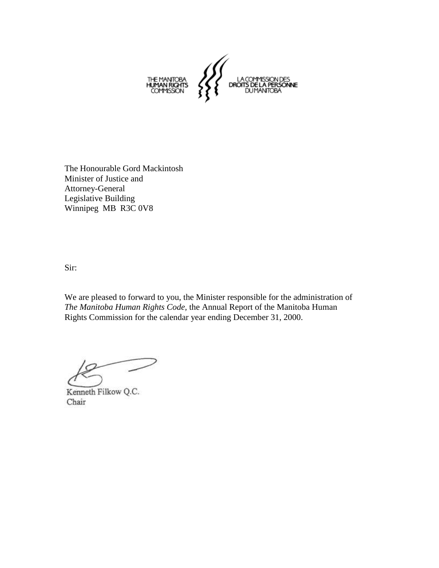

The Honourable Gord Mackintosh Minister of Justice and Attorney-General Legislative Building Winnipeg MB R3C 0V8

Sir:

We are pleased to forward to you, the Minister responsible for the administration of *The Manitoba Human Rights Code,* the Annual Report of the Manitoba Human Rights Commission for the calendar year ending December 31, 2000.

Kenneth Filkow Q.C. Chair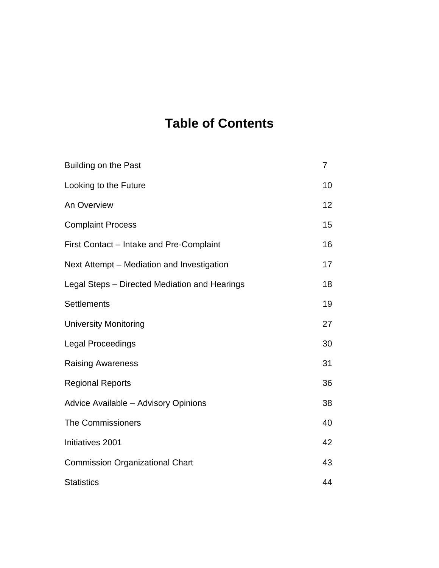# **Table of Contents**

| <b>Building on the Past</b>                   | 7  |
|-----------------------------------------------|----|
| Looking to the Future                         | 10 |
| An Overview                                   | 12 |
| <b>Complaint Process</b>                      | 15 |
| First Contact - Intake and Pre-Complaint      | 16 |
| Next Attempt – Mediation and Investigation    | 17 |
| Legal Steps - Directed Mediation and Hearings | 18 |
| <b>Settlements</b>                            | 19 |
| <b>University Monitoring</b>                  | 27 |
| <b>Legal Proceedings</b>                      | 30 |
| <b>Raising Awareness</b>                      | 31 |
| <b>Regional Reports</b>                       | 36 |
| Advice Available - Advisory Opinions          | 38 |
| <b>The Commissioners</b>                      | 40 |
| Initiatives 2001                              | 42 |
| <b>Commission Organizational Chart</b>        | 43 |
| <b>Statistics</b>                             | 44 |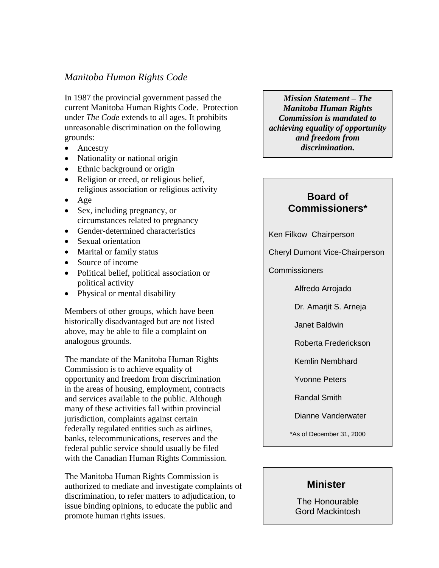### *Manitoba Human Rights Code*

In 1987 the provincial government passed the current Manitoba Human Rights Code. Protection under *The Code* extends to all ages. It prohibits unreasonable discrimination on the following grounds:

- Ancestry
- Nationality or national origin
- Ethnic background or origin
- Religion or creed, or religious belief, religious association or religious activity
- $\bullet$  Age
- Sex, including pregnancy, or circumstances related to pregnancy
- Gender-determined characteristics
- Sexual orientation
- Marital or family status
- Source of income
- Political belief, political association or political activity
- Physical or mental disability

Members of other groups, which have been historically disadvantaged but are not listed above, may be able to file a complaint on analogous grounds.

The mandate of the Manitoba Human Rights Commission is to achieve equality of opportunity and freedom from discrimination in the areas of housing, employment, contracts and services available to the public. Although many of these activities fall within provincial jurisdiction, complaints against certain federally regulated entities such as airlines, banks, telecommunications, reserves and the federal public service should usually be filed with the Canadian Human Rights Commission.

The Manitoba Human Rights Commission is authorized to mediate and investigate complaints of discrimination, to refer matters to adjudication, to issue binding opinions, to educate the public and promote human rights issues.

*Mission Statement* **–** *The Manitoba Human Rights Commission is mandated to achieving equality of opportunity and freedom from discrimination.*

## **Board of Commissioners\***

Ken Filkow Chairperson

Cheryl Dumont Vice-Chairperson

Commissioners

Alfredo Arrojado

Dr. Amarjit S. Arneja

Janet Baldwin

Roberta Frederickson

Kemlin Nembhard

Yvonne Peters

Randal Smith

Dianne Vanderwater

\*As of December 31, 2000

#### **Minister**

The Honourable Gord Mackintosh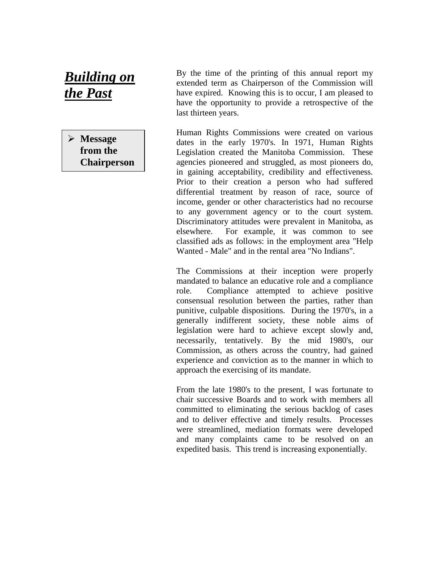# *Building on the Past*

 **Message from the Chairperson**  By the time of the printing of this annual report my extended term as Chairperson of the Commission will have expired. Knowing this is to occur, I am pleased to have the opportunity to provide a retrospective of the last thirteen years.

Human Rights Commissions were created on various dates in the early 1970's. In 1971, Human Rights Legislation created the Manitoba Commission. These agencies pioneered and struggled, as most pioneers do, in gaining acceptability, credibility and effectiveness. Prior to their creation a person who had suffered differential treatment by reason of race, source of income, gender or other characteristics had no recourse to any government agency or to the court system. Discriminatory attitudes were prevalent in Manitoba, as elsewhere. For example, it was common to see classified ads as follows: in the employment area "Help Wanted - Male" and in the rental area "No Indians".

The Commissions at their inception were properly mandated to balance an educative role and a compliance role. Compliance attempted to achieve positive consensual resolution between the parties, rather than punitive, culpable dispositions. During the 1970's, in a generally indifferent society, these noble aims of legislation were hard to achieve except slowly and, necessarily, tentatively. By the mid 1980's, our Commission, as others across the country, had gained experience and conviction as to the manner in which to approach the exercising of its mandate.

From the late 1980's to the present, I was fortunate to chair successive Boards and to work with members all committed to eliminating the serious backlog of cases and to deliver effective and timely results. Processes were streamlined, mediation formats were developed and many complaints came to be resolved on an expedited basis. This trend is increasing exponentially.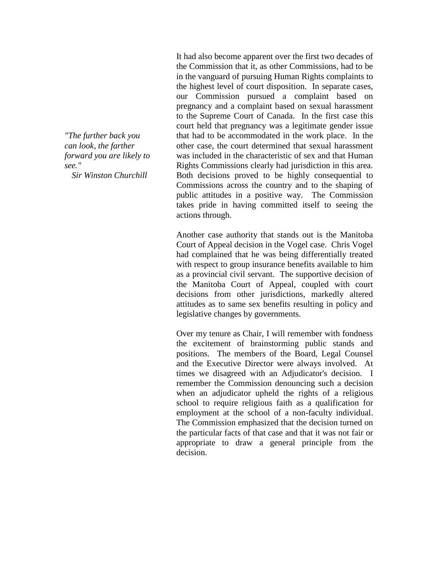*"The further back you can look, the farther forward you are likely to see."*

*Sir Winston Churchill*

It had also become apparent over the first two decades of the Commission that it, as other Commissions, had to be in the vanguard of pursuing Human Rights complaints to the highest level of court disposition. In separate cases, our Commission pursued a complaint based on pregnancy and a complaint based on sexual harassment to the Supreme Court of Canada. In the first case this court held that pregnancy was a legitimate gender issue that had to be accommodated in the work place. In the other case, the court determined that sexual harassment was included in the characteristic of sex and that Human Rights Commissions clearly had jurisdiction in this area. Both decisions proved to be highly consequential to Commissions across the country and to the shaping of public attitudes in a positive way. The Commission takes pride in having committed itself to seeing the actions through.

Another case authority that stands out is the Manitoba Court of Appeal decision in the Vogel case. Chris Vogel had complained that he was being differentially treated with respect to group insurance benefits available to him as a provincial civil servant. The supportive decision of the Manitoba Court of Appeal, coupled with court decisions from other jurisdictions, markedly altered attitudes as to same sex benefits resulting in policy and legislative changes by governments.

Over my tenure as Chair, I will remember with fondness the excitement of brainstorming public stands and positions. The members of the Board, Legal Counsel and the Executive Director were always involved. At times we disagreed with an Adjudicator's decision. I remember the Commission denouncing such a decision when an adjudicator upheld the rights of a religious school to require religious faith as a qualification for employment at the school of a non-faculty individual. The Commission emphasized that the decision turned on the particular facts of that case and that it was not fair or appropriate to draw a general principle from the decision.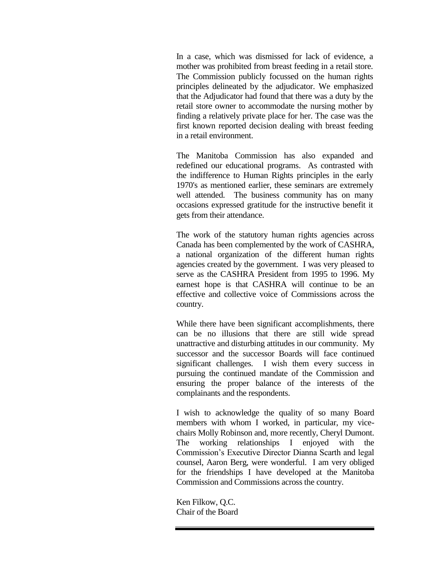In a case, which was dismissed for lack of evidence, a mother was prohibited from breast feeding in a retail store. The Commission publicly focussed on the human rights principles delineated by the adjudicator. We emphasized that the Adjudicator had found that there was a duty by the retail store owner to accommodate the nursing mother by finding a relatively private place for her. The case was the first known reported decision dealing with breast feeding in a retail environment.

The Manitoba Commission has also expanded and redefined our educational programs. As contrasted with the indifference to Human Rights principles in the early 1970's as mentioned earlier, these seminars are extremely well attended. The business community has on many occasions expressed gratitude for the instructive benefit it gets from their attendance.

The work of the statutory human rights agencies across Canada has been complemented by the work of CASHRA, a national organization of the different human rights agencies created by the government. I was very pleased to serve as the CASHRA President from 1995 to 1996. My earnest hope is that CASHRA will continue to be an effective and collective voice of Commissions across the country.

While there have been significant accomplishments, there can be no illusions that there are still wide spread unattractive and disturbing attitudes in our community. My successor and the successor Boards will face continued significant challenges. I wish them every success in pursuing the continued mandate of the Commission and ensuring the proper balance of the interests of the complainants and the respondents.

I wish to acknowledge the quality of so many Board members with whom I worked, in particular, my vicechairs Molly Robinson and, more recently, Cheryl Dumont. The working relationships I enjoyed with the Commission's Executive Director Dianna Scarth and legal counsel, Aaron Berg, were wonderful. I am very obliged for the friendships I have developed at the Manitoba Commission and Commissions across the country.

Ken Filkow, Q.C. Chair of the Board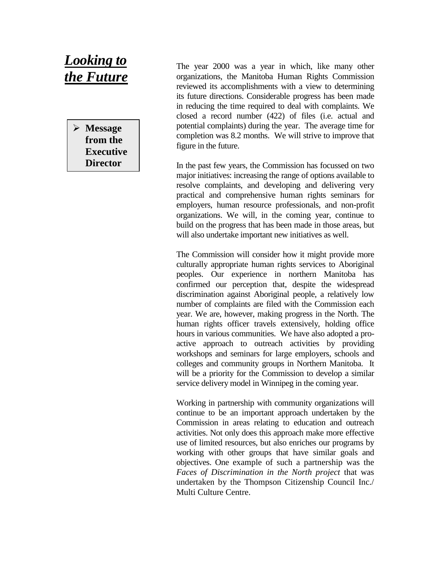# *Looking to the Future*

 **Message from the Executive Director**

The year 2000 was a year in which, like many other organizations, the Manitoba Human Rights Commission reviewed its accomplishments with a view to determining its future directions. Considerable progress has been made in reducing the time required to deal with complaints. We closed a record number (422) of files (i.e. actual and potential complaints) during the year. The average time for completion was 8.2 months. We will strive to improve that figure in the future.

In the past few years, the Commission has focussed on two major initiatives: increasing the range of options available to resolve complaints, and developing and delivering very practical and comprehensive human rights seminars for employers, human resource professionals, and non-profit organizations. We will, in the coming year, continue to build on the progress that has been made in those areas, but will also undertake important new initiatives as well.

The Commission will consider how it might provide more culturally appropriate human rights services to Aboriginal peoples. Our experience in northern Manitoba has confirmed our perception that, despite the widespread discrimination against Aboriginal people, a relatively low number of complaints are filed with the Commission each year. We are, however, making progress in the North. The human rights officer travels extensively, holding office hours in various communities. We have also adopted a proactive approach to outreach activities by providing workshops and seminars for large employers, schools and colleges and community groups in Northern Manitoba. It will be a priority for the Commission to develop a similar service delivery model in Winnipeg in the coming year.

Working in partnership with community organizations will continue to be an important approach undertaken by the Commission in areas relating to education and outreach activities. Not only does this approach make more effective use of limited resources, but also enriches our programs by working with other groups that have similar goals and objectives. One example of such a partnership was the *Faces of Discrimination in the North project* that was undertaken by the Thompson Citizenship Council Inc./ Multi Culture Centre.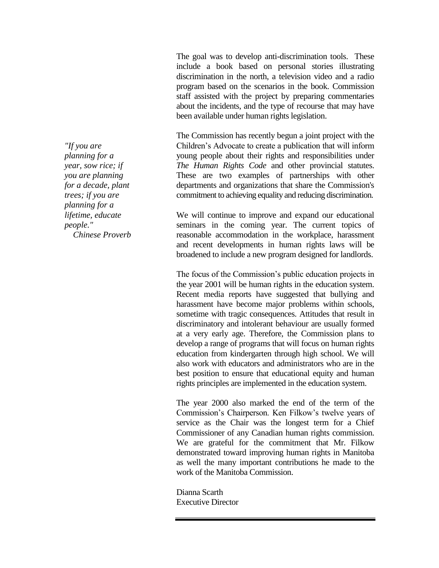The goal was to develop anti-discrimination tools. These include a book based on personal stories illustrating discrimination in the north, a television video and a radio program based on the scenarios in the book. Commission staff assisted with the project by preparing commentaries about the incidents, and the type of recourse that may have been available under human rights legislation.

The Commission has recently begun a joint project with the Children's Advocate to create a publication that will inform young people about their rights and responsibilities under *The Human Rights Code* and other provincial statutes. These are two examples of partnerships with other departments and organizations that share the Commission's commitment to achieving equality and reducing discrimination.

We will continue to improve and expand our educational seminars in the coming year. The current topics of reasonable accommodation in the workplace, harassment and recent developments in human rights laws will be broadened to include a new program designed for landlords.

The focus of the Commission's public education projects in the year 2001 will be human rights in the education system. Recent media reports have suggested that bullying and harassment have become major problems within schools, sometime with tragic consequences. Attitudes that result in discriminatory and intolerant behaviour are usually formed at a very early age. Therefore, the Commission plans to develop a range of programs that will focus on human rights education from kindergarten through high school. We will also work with educators and administrators who are in the best position to ensure that educational equity and human rights principles are implemented in the education system.

The year 2000 also marked the end of the term of the Commission's Chairperson. Ken Filkow's twelve years of service as the Chair was the longest term for a Chief Commissioner of any Canadian human rights commission. We are grateful for the commitment that Mr. Filkow demonstrated toward improving human rights in Manitoba as well the many important contributions he made to the work of the Manitoba Commission.

Dianna Scarth Executive Director

*"If you are planning for a year, sow rice; if you are planning for a decade, plant trees; if you are planning for a lifetime, educate people." Chinese Proverb*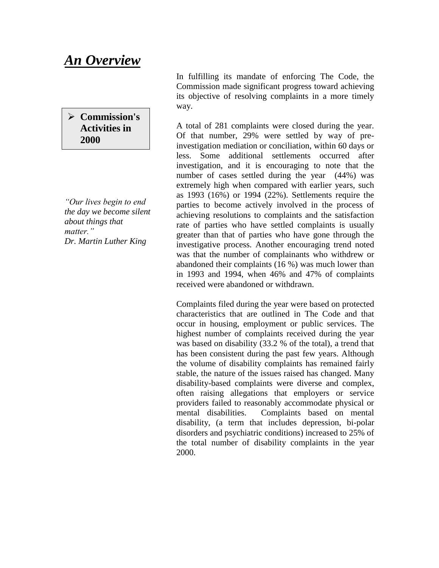## *An Overview*

 **Commission's Activities in 2000**

*"Our lives begin to end the day we become silent about things that matter." Dr. Martin Luther King*

In fulfilling its mandate of enforcing The Code, the Commission made significant progress toward achieving its objective of resolving complaints in a more timely way.

A total of 281 complaints were closed during the year. Of that number, 29% were settled by way of preinvestigation mediation or conciliation, within 60 days or less. Some additional settlements occurred after investigation, and it is encouraging to note that the number of cases settled during the year (44%) was extremely high when compared with earlier years, such as 1993 (16%) or 1994 (22%). Settlements require the parties to become actively involved in the process of achieving resolutions to complaints and the satisfaction rate of parties who have settled complaints is usually greater than that of parties who have gone through the investigative process. Another encouraging trend noted was that the number of complainants who withdrew or abandoned their complaints (16 %) was much lower than in 1993 and 1994, when 46% and 47% of complaints received were abandoned or withdrawn.

Complaints filed during the year were based on protected characteristics that are outlined in The Code and that occur in housing, employment or public services. The highest number of complaints received during the year was based on disability (33.2 % of the total), a trend that has been consistent during the past few years. Although the volume of disability complaints has remained fairly stable, the nature of the issues raised has changed. Many disability-based complaints were diverse and complex, often raising allegations that employers or service providers failed to reasonably accommodate physical or mental disabilities. Complaints based on mental disability, (a term that includes depression, bi-polar disorders and psychiatric conditions) increased to 25% of the total number of disability complaints in the year 2000.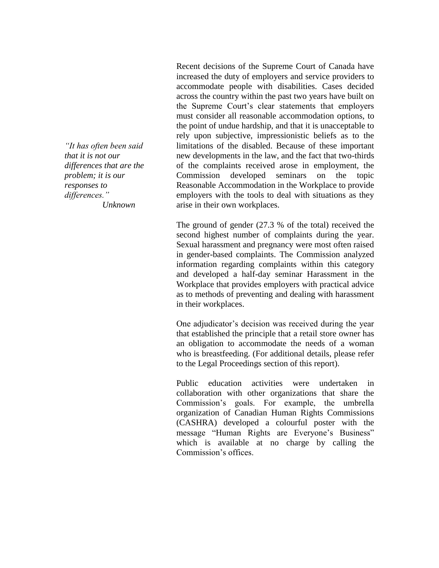*"It has often been said that it is not our differences that are the problem; it is our responses to differences." Unknown*

Recent decisions of the Supreme Court of Canada have increased the duty of employers and service providers to accommodate people with disabilities. Cases decided across the country within the past two years have built on the Supreme Court's clear statements that employers must consider all reasonable accommodation options, to the point of undue hardship, and that it is unacceptable to rely upon subjective, impressionistic beliefs as to the limitations of the disabled. Because of these important new developments in the law, and the fact that two-thirds of the complaints received arose in employment, the Commission developed seminars on the topic Reasonable Accommodation in the Workplace to provide employers with the tools to deal with situations as they arise in their own workplaces.

The ground of gender (27.3 % of the total) received the second highest number of complaints during the year. Sexual harassment and pregnancy were most often raised in gender-based complaints. The Commission analyzed information regarding complaints within this category and developed a half-day seminar Harassment in the Workplace that provides employers with practical advice as to methods of preventing and dealing with harassment in their workplaces.

One adjudicator's decision was received during the year that established the principle that a retail store owner has an obligation to accommodate the needs of a woman who is breastfeeding. (For additional details, please refer to the Legal Proceedings section of this report).

Public education activities were undertaken in collaboration with other organizations that share the Commission's goals. For example, the umbrella organization of Canadian Human Rights Commissions (CASHRA) developed a colourful poster with the message "Human Rights are Everyone's Business" which is available at no charge by calling the Commission's offices.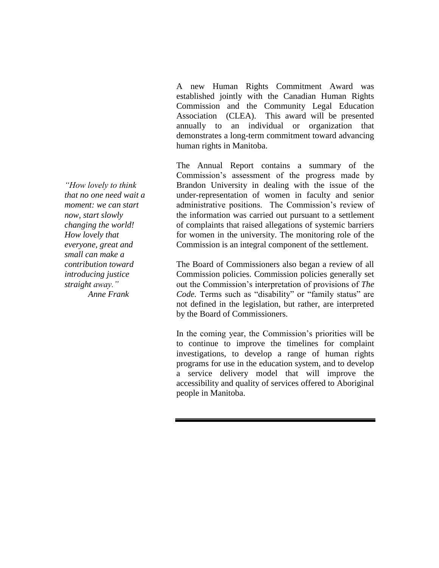A new Human Rights Commitment Award was established jointly with the Canadian Human Rights Commission and the Community Legal Education Association (CLEA). This award will be presented annually to an individual or organization that demonstrates a long-term commitment toward advancing human rights in Manitoba.

The Annual Report contains a summary of the Commission's assessment of the progress made by Brandon University in dealing with the issue of the under-representation of women in faculty and senior administrative positions. The Commission's review of the information was carried out pursuant to a settlement of complaints that raised allegations of systemic barriers for women in the university. The monitoring role of the Commission is an integral component of the settlement.

The Board of Commissioners also began a review of all Commission policies. Commission policies generally set out the Commission's interpretation of provisions of *The Code.* Terms such as "disability" or "family status" are not defined in the legislation, but rather, are interpreted by the Board of Commissioners.

In the coming year, the Commission's priorities will be to continue to improve the timelines for complaint investigations, to develop a range of human rights programs for use in the education system, and to develop a service delivery model that will improve the accessibility and quality of services offered to Aboriginal people in Manitoba.

*"How lovely to think that no one need wait a moment: we can start now, start slowly changing the world! How lovely that everyone, great and small can make a contribution toward introducing justice straight away." Anne Frank*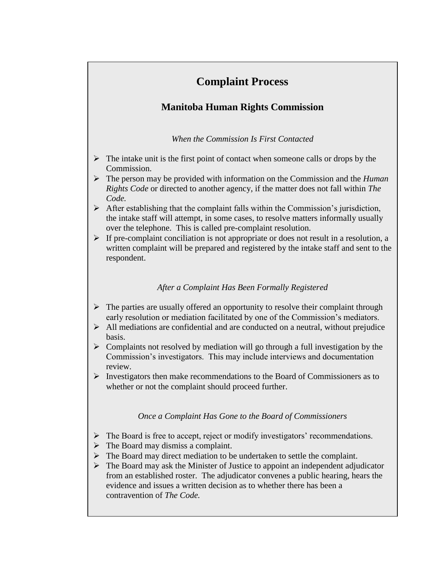## **Complaint Process**

## **Manitoba Human Rights Commission**

*When the Commission Is First Contacted* 

- $\triangleright$  The intake unit is the first point of contact when someone calls or drops by the Commission.
- The person may be provided with information on the Commission and the *Human Rights Code* or directed to another agency, if the matter does not fall within *The Code.*
- $\triangleright$  After establishing that the complaint falls within the Commission's jurisdiction, the intake staff will attempt, in some cases, to resolve matters informally usually over the telephone. This is called pre-complaint resolution.
- $\triangleright$  If pre-complaint conciliation is not appropriate or does not result in a resolution, a written complaint will be prepared and registered by the intake staff and sent to the respondent.

## *After a Complaint Has Been Formally Registered*

- $\triangleright$  The parties are usually offered an opportunity to resolve their complaint through early resolution or mediation facilitated by one of the Commission's mediators.
- $\triangleright$  All mediations are confidential and are conducted on a neutral, without prejudice basis.
- $\triangleright$  Complaints not resolved by mediation will go through a full investigation by the Commission's investigators. This may include interviews and documentation review.
- $\triangleright$  Investigators then make recommendations to the Board of Commissioners as to whether or not the complaint should proceed further.

## *Once a Complaint Has Gone to the Board of Commissioners*

- $\triangleright$  The Board is free to accept, reject or modify investigators' recommendations.
- $\triangleright$  The Board may dismiss a complaint.
- $\triangleright$  The Board may direct mediation to be undertaken to settle the complaint.
- $\triangleright$  The Board may ask the Minister of Justice to appoint an independent adjudicator from an established roster. The adjudicator convenes a public hearing, hears the evidence and issues a written decision as to whether there has been a contravention of *The Code.*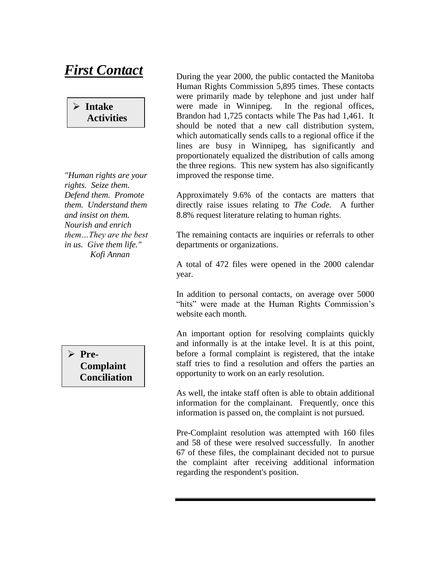## *First Contact*

## **Intake Activities**

*"Human rights are your rights. Seize them. Defend them. Promote them. Understand them and insist on them. Nourish and enrich them…They are the best in us. Give them life." Kofi Annan*

 **Pre-Complaint Conciliation**

**Program** 

During the year 2000, the public contacted the Manitoba Human Rights Commission 5,895 times. These contacts were primarily made by telephone and just under half were made in Winnipeg. In the regional offices. were made in Winnipeg. Brandon had 1,725 contacts while The Pas had 1,461. It should be noted that a new call distribution system, which automatically sends calls to a regional office if the lines are busy in Winnipeg, has significantly and proportionately equalized the distribution of calls among the three regions. This new system has also significantly improved the response time.

Approximately 9.6% of the contacts are matters that directly raise issues relating to *The Code.* A further 8.8% request literature relating to human rights.

The remaining contacts are inquiries or referrals to other departments or organizations.

A total of 472 files were opened in the 2000 calendar year.

In addition to personal contacts, on average over 5000 "hits" were made at the Human Rights Commission's website each month.

An important option for resolving complaints quickly and informally is at the intake level. It is at this point, before a formal complaint is registered, that the intake staff tries to find a resolution and offers the parties an opportunity to work on an early resolution.

As well, the intake staff often is able to obtain additional information for the complainant. Frequently, once this information is passed on, the complaint is not pursued.

Pre-Complaint resolution was attempted with 160 files and 58 of these were resolved successfully. In another 67 of these files, the complainant decided not to pursue the complaint after receiving additional information regarding the respondent's position.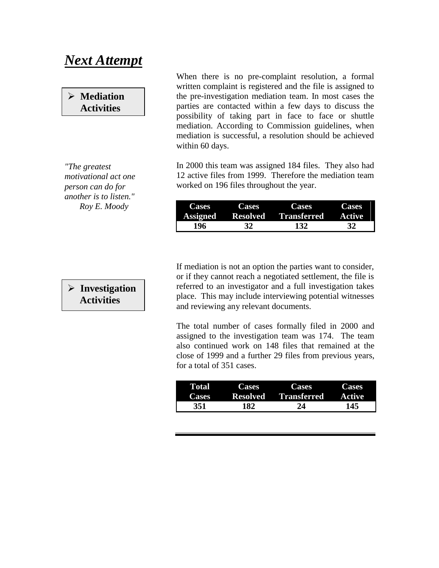## *Next Attempt*

## **Mediation Activities**

*"The greatest motivational act one person can do for another is to listen." Roy E. Moody*

When there is no pre-complaint resolution, a formal written complaint is registered and the file is assigned to the pre-investigation mediation team. In most cases the parties are contacted within a few days to discuss the possibility of taking part in face to face or shuttle mediation. According to Commission guidelines, when mediation is successful, a resolution should be achieved within 60 days.

In 2000 this team was assigned 184 files. They also had 12 active files from 1999. Therefore the mediation team worked on 196 files throughout the year.

|     | Cases Cases | Cases Cases<br>Assigned Resolved Transferred Active |           |
|-----|-------------|-----------------------------------------------------|-----------|
| 196 | <b>32</b>   | 132                                                 | <b>32</b> |

 **Investigation Activities**

If mediation is not an option the parties want to consider, or if they cannot reach a negotiated settlement, the file is referred to an investigator and a full investigation takes place. This may include interviewing potential witnesses and reviewing any relevant documents.

The total number of cases formally filed in 2000 and assigned to the investigation team was 174. The team also continued work on 148 files that remained at the close of 1999 and a further 29 files from previous years, for a total of 351 cases.

| Total        | <b>Cases</b> | Cases                       | <b>Cases</b> |
|--------------|--------------|-----------------------------|--------------|
| <b>Cases</b> |              | Resolved Transferred Active |              |
| 351          | 182          | 24                          | 145          |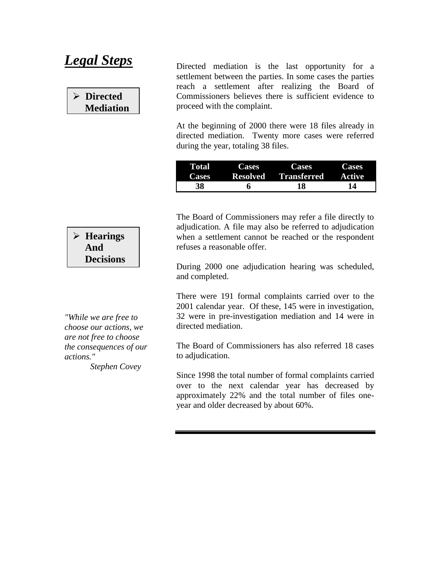## *Legal Steps*

 **Directed Mediation**

Directed mediation is the last opportunity for a settlement between the parties. In some cases the parties reach a settlement after realizing the Board of Commissioners believes there is sufficient evidence to proceed with the complaint.

At the beginning of 2000 there were 18 files already in directed mediation. Twenty more cases were referred during the year, totaling 38 files.

| Total | <b>Cases</b> | <b>Cases</b>                      | <b>Cases</b> |
|-------|--------------|-----------------------------------|--------------|
|       |              | Cases Resolved Transferred Active |              |
| 38    |              | 18                                | 14           |

The Board of Commissioners may refer a file directly to adjudication. A file may also be referred to adjudication when a settlement cannot be reached or the respondent refuses a reasonable offer.

During 2000 one adjudication hearing was scheduled, and completed.

There were 191 formal complaints carried over to the 2001 calendar year. Of these, 145 were in investigation, 32 were in pre-investigation mediation and 14 were in directed mediation.

The Board of Commissioners has also referred 18 cases to adjudication.

Since 1998 the total number of formal complaints carried over to the next calendar year has decreased by approximately 22% and the total number of files oneyear and older decreased by about 60%.

 **Hearings And**  **Decisions**

*"While we are free to choose our actions, we are not free to choose the consequences of our actions." Stephen Covey*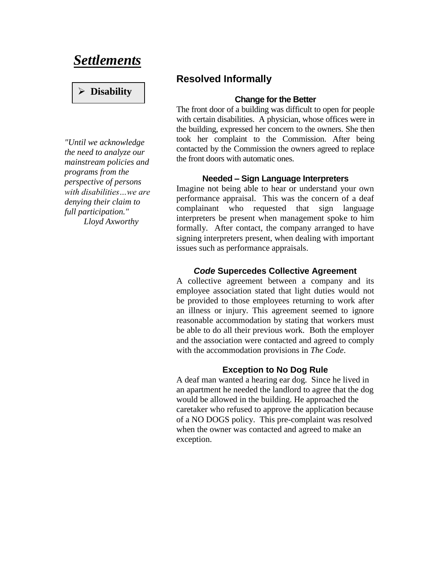## *Settlements*

**Disability**

*"Until we acknowledge the need to analyze our mainstream policies and programs from the perspective of persons with disabilities…we are denying their claim to full participation." Lloyd Axworthy*

## **Resolved Informally**

#### **Change for the Better**

The front door of a building was difficult to open for people with certain disabilities. A physician, whose offices were in the building, expressed her concern to the owners. She then took her complaint to the Commission. After being contacted by the Commission the owners agreed to replace the front doors with automatic ones.

#### **Needed – Sign Language Interpreters**

Imagine not being able to hear or understand your own performance appraisal. This was the concern of a deaf complainant who requested that sign language interpreters be present when management spoke to him formally. After contact, the company arranged to have signing interpreters present, when dealing with important issues such as performance appraisals.

#### *Code* **Supercedes Collective Agreement**

A collective agreement between a company and its employee association stated that light duties would not be provided to those employees returning to work after an illness or injury. This agreement seemed to ignore reasonable accommodation by stating that workers must be able to do all their previous work. Both the employer and the association were contacted and agreed to comply with the accommodation provisions in *The Code*.

#### **Exception to No Dog Rule**

A deaf man wanted a hearing ear dog. Since he lived in an apartment he needed the landlord to agree that the dog would be allowed in the building. He approached the caretaker who refused to approve the application because of a NO DOGS policy. This pre-complaint was resolved when the owner was contacted and agreed to make an exception.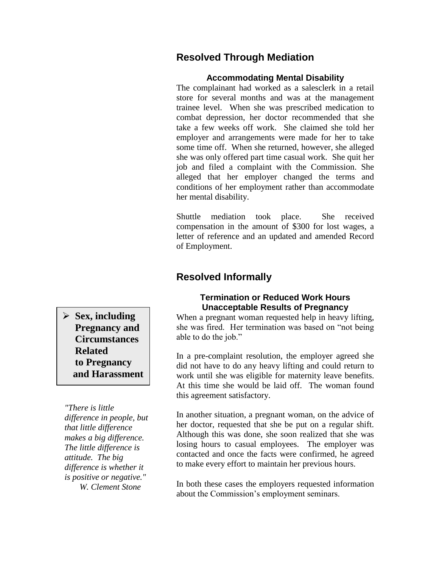## **Resolved Through Mediation**

#### **Accommodating Mental Disability**

The complainant had worked as a salesclerk in a retail store for several months and was at the management trainee level. When she was prescribed medication to combat depression, her doctor recommended that she take a few weeks off work. She claimed she told her employer and arrangements were made for her to take some time off. When she returned, however, she alleged she was only offered part time casual work. She quit her job and filed a complaint with the Commission. She alleged that her employer changed the terms and conditions of her employment rather than accommodate her mental disability.

Shuttle mediation took place. She received compensation in the amount of \$300 for lost wages, a letter of reference and an updated and amended Record of Employment.

## **Resolved Informally**

### **Termination or Reduced Work Hours Unacceptable Results of Pregnancy**

When a pregnant woman requested help in heavy lifting, she was fired. Her termination was based on "not being able to do the job."

In a pre-complaint resolution, the employer agreed she did not have to do any heavy lifting and could return to work until she was eligible for maternity leave benefits. At this time she would be laid off. The woman found this agreement satisfactory.

In another situation, a pregnant woman, on the advice of her doctor, requested that she be put on a regular shift. Although this was done, she soon realized that she was losing hours to casual employees. The employer was contacted and once the facts were confirmed, he agreed to make every effort to maintain her previous hours.

In both these cases the employers requested information about the Commission's employment seminars.

 **Sex, including Pregnancy and Circumstances Related to Pregnancy and Harassment**

*"There is little difference in people, but that little difference makes a big difference. The little difference is attitude. The big difference is whether it is positive or negative." W. Clement Stone*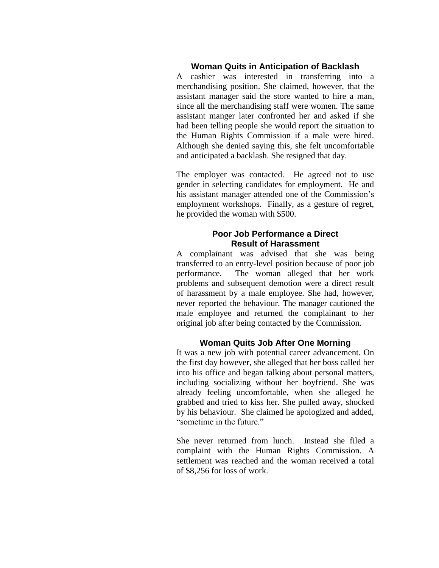#### **Woman Quits in Anticipation of Backlash**

A cashier was interested in transferring into a merchandising position. She claimed, however, that the assistant manager said the store wanted to hire a man, since all the merchandising staff were women. The same assistant manger later confronted her and asked if she had been telling people she would report the situation to the Human Rights Commission if a male were hired. Although she denied saying this, she felt uncomfortable and anticipated a backlash. She resigned that day.

The employer was contacted. He agreed not to use gender in selecting candidates for employment. He and his assistant manager attended one of the Commission's employment workshops. Finally, as a gesture of regret, he provided the woman with \$500.

### **Poor Job Performance a Direct Result of Harassment**

A complainant was advised that she was being transferred to an entry-level position because of poor job performance. The woman alleged that her work problems and subsequent demotion were a direct result of harassment by a male employee. She had, however, never reported the behaviour. The manager cautioned the male employee and returned the complainant to her original job after being contacted by the Commission.

#### **Woman Quits Job After One Morning**

It was a new job with potential career advancement. On the first day however, she alleged that her boss called her into his office and began talking about personal matters, including socializing without her boyfriend. She was already feeling uncomfortable, when she alleged he grabbed and tried to kiss her. She pulled away, shocked by his behaviour. She claimed he apologized and added, "sometime in the future."

She never returned from lunch. Instead she filed a complaint with the Human Rights Commission. A settlement was reached and the woman received a total of \$8,256 for loss of work.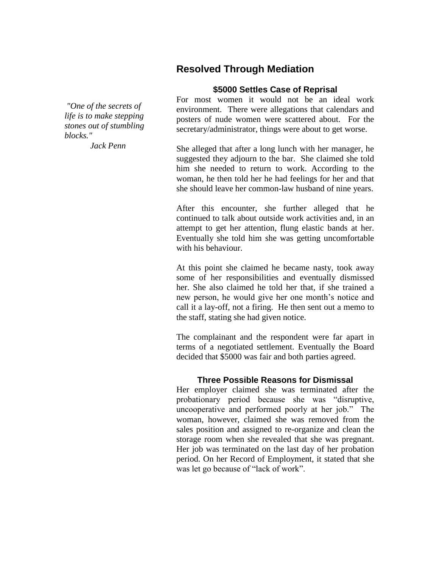### *"One of the secrets of life is to make stepping stones out of stumbling blocks."*

*Jack Penn*

## **Resolved Through Mediation**

#### **\$5000 Settles Case of Reprisal**

For most women it would not be an ideal work environment. There were allegations that calendars and posters of nude women were scattered about. For the secretary/administrator, things were about to get worse.

She alleged that after a long lunch with her manager, he suggested they adjourn to the bar. She claimed she told him she needed to return to work. According to the woman, he then told her he had feelings for her and that she should leave her common-law husband of nine years.

After this encounter, she further alleged that he continued to talk about outside work activities and, in an attempt to get her attention, flung elastic bands at her. Eventually she told him she was getting uncomfortable with his behaviour.

At this point she claimed he became nasty, took away some of her responsibilities and eventually dismissed her. She also claimed he told her that, if she trained a new person, he would give her one month's notice and call it a lay-off, not a firing. He then sent out a memo to the staff, stating she had given notice.

The complainant and the respondent were far apart in terms of a negotiated settlement. Eventually the Board decided that \$5000 was fair and both parties agreed.

#### **Three Possible Reasons for Dismissal**

Her employer claimed she was terminated after the probationary period because she was "disruptive, uncooperative and performed poorly at her job." The woman, however, claimed she was removed from the sales position and assigned to re-organize and clean the storage room when she revealed that she was pregnant. Her job was terminated on the last day of her probation period. On her Record of Employment, it stated that she was let go because of "lack of work".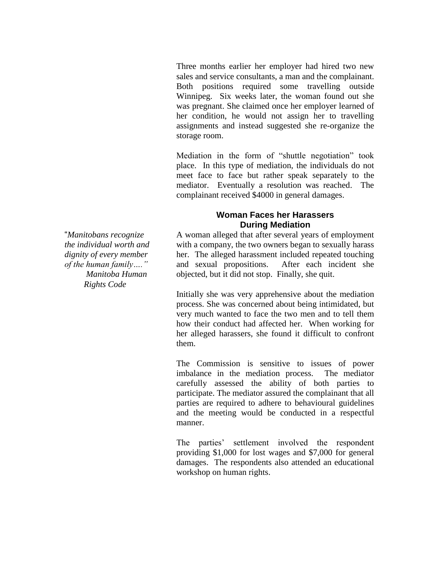Three months earlier her employer had hired two new sales and service consultants, a man and the complainant. Both positions required some travelling outside Winnipeg. Six weeks later, the woman found out she was pregnant. She claimed once her employer learned of her condition, he would not assign her to travelling assignments and instead suggested she re-organize the storage room.

Mediation in the form of "shuttle negotiation" took place. In this type of mediation, the individuals do not meet face to face but rather speak separately to the mediator. Eventually a resolution was reached. The complainant received \$4000 in general damages.

### **Woman Faces her Harassers During Mediation**

A woman alleged that after several years of employment with a company, the two owners began to sexually harass her. The alleged harassment included repeated touching and sexual propositions. After each incident she objected, but it did not stop. Finally, she quit.

Initially she was very apprehensive about the mediation process. She was concerned about being intimidated, but very much wanted to face the two men and to tell them how their conduct had affected her. When working for her alleged harassers, she found it difficult to confront them.

The Commission is sensitive to issues of power imbalance in the mediation process. The mediator carefully assessed the ability of both parties to participate. The mediator assured the complainant that all parties are required to adhere to behavioural guidelines and the meeting would be conducted in a respectful manner.

The parties' settlement involved the respondent providing \$1,000 for lost wages and \$7,000 for general damages. The respondents also attended an educational workshop on human rights.

"*Manitobans recognize the individual worth and dignity of every member of the human family…."*  *Manitoba Human Rights Code*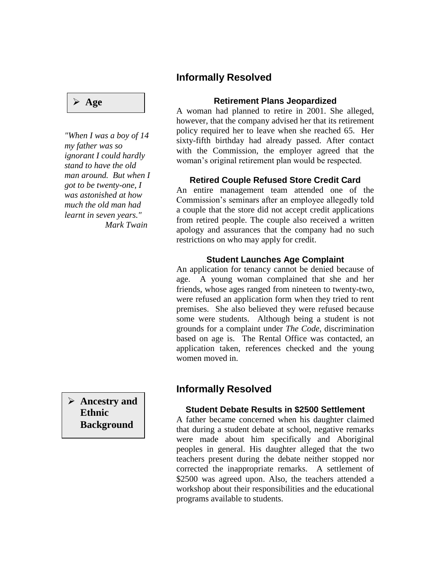**Age**

*"When I was a boy of 14 my father was so ignorant I could hardly stand to have the old man around. But when I got to be twenty-one, I was astonished at how much the old man had learnt in seven years." Mark Twain*

 **Ancestry and Ethnic Background**

## **Informally Resolved**

#### **Retirement Plans Jeopardized**

A woman had planned to retire in 2001. She alleged, however, that the company advised her that its retirement policy required her to leave when she reached 65. Her sixty-fifth birthday had already passed. After contact with the Commission, the employer agreed that the woman's original retirement plan would be respected.

### **Retired Couple Refused Store Credit Card**

An entire management team attended one of the Commission's seminars after an employee allegedly told a couple that the store did not accept credit applications from retired people. The couple also received a written apology and assurances that the company had no such restrictions on who may apply for credit.

### **Student Launches Age Complaint**

An application for tenancy cannot be denied because of age. A young woman complained that she and her friends, whose ages ranged from nineteen to twenty-two, were refused an application form when they tried to rent premises. She also believed they were refused because some were students. Although being a student is not grounds for a complaint under *The Code*, discrimination based on age is. The Rental Office was contacted, an application taken, references checked and the young women moved in.

## **Informally Resolved**

#### **Student Debate Results in \$2500 Settlement**

A father became concerned when his daughter claimed that during a student debate at school, negative remarks were made about him specifically and Aboriginal peoples in general. His daughter alleged that the two teachers present during the debate neither stopped nor corrected the inappropriate remarks. A settlement of \$2500 was agreed upon. Also, the teachers attended a workshop about their responsibilities and the educational programs available to students.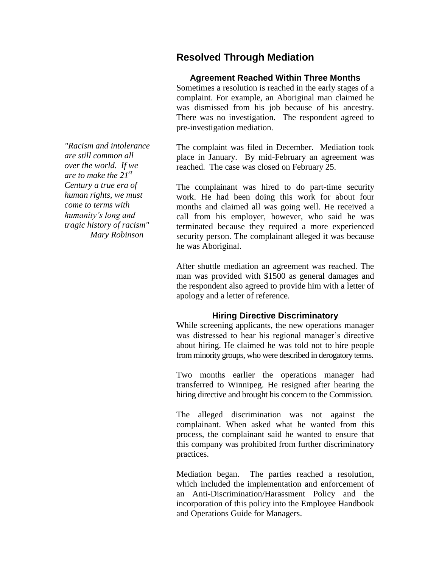## **Resolved Through Mediation**

#### **Agreement Reached Within Three Months**

Sometimes a resolution is reached in the early stages of a complaint. For example, an Aboriginal man claimed he was dismissed from his job because of his ancestry. There was no investigation. The respondent agreed to pre-investigation mediation.

The complaint was filed in December. Mediation took place in January. By mid-February an agreement was reached. The case was closed on February 25.

The complainant was hired to do part-time security work. He had been doing this work for about four months and claimed all was going well. He received a call from his employer, however, who said he was terminated because they required a more experienced security person. The complainant alleged it was because he was Aboriginal.

After shuttle mediation an agreement was reached. The man was provided with \$1500 as general damages and the respondent also agreed to provide him with a letter of apology and a letter of reference.

#### **Hiring Directive Discriminatory**

While screening applicants, the new operations manager was distressed to hear his regional manager's directive about hiring. He claimed he was told not to hire people from minority groups, who were described in derogatory terms.

Two months earlier the operations manager had transferred to Winnipeg. He resigned after hearing the hiring directive and brought his concern to the Commission*.*

The alleged discrimination was not against the complainant. When asked what he wanted from this process, the complainant said he wanted to ensure that this company was prohibited from further discriminatory practices.

Mediation began. The parties reached a resolution, which included the implementation and enforcement of an Anti-Discrimination/Harassment Policy and the incorporation of this policy into the Employee Handbook and Operations Guide for Managers.

*"Racism and intolerance are still common all over the world. If we are to make the 21st Century a true era of human rights, we must come to terms with humanity's long and tragic history of racism" Mary Robinson*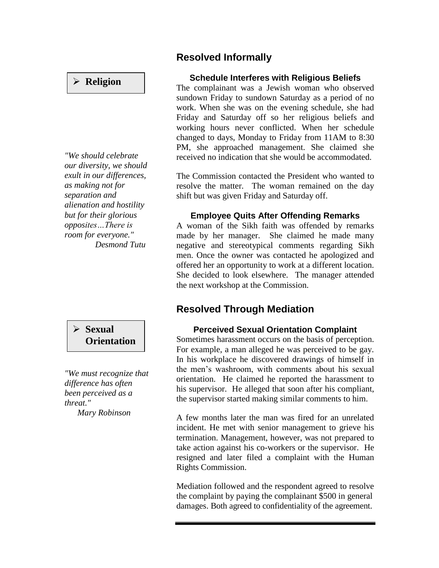## **Religion**

*"We should celebrate our diversity, we should exult in our differences, as making not for separation and alienation and hostility but for their glorious opposites…There is room for everyone." Desmond Tutu*

> **Sexual Orientation**

*"We must recognize that difference has often been perceived as a threat." Mary Robinson*

## **Resolved Informally**

#### **Schedule Interferes with Religious Beliefs**

The complainant was a Jewish woman who observed sundown Friday to sundown Saturday as a period of no work. When she was on the evening schedule, she had Friday and Saturday off so her religious beliefs and working hours never conflicted. When her schedule changed to days, Monday to Friday from 11AM to 8:30 PM, she approached management. She claimed she received no indication that she would be accommodated.

The Commission contacted the President who wanted to resolve the matter. The woman remained on the day shift but was given Friday and Saturday off.

#### **Employee Quits After Offending Remarks**

A woman of the Sikh faith was offended by remarks made by her manager. She claimed he made many negative and stereotypical comments regarding Sikh men. Once the owner was contacted he apologized and offered her an opportunity to work at a different location. She decided to look elsewhere. The manager attended the next workshop at the Commission.

## **Resolved Through Mediation**

#### **Perceived Sexual Orientation Complaint**

Sometimes harassment occurs on the basis of perception. For example, a man alleged he was perceived to be gay. In his workplace he discovered drawings of himself in the men's washroom, with comments about his sexual orientation. He claimed he reported the harassment to his supervisor. He alleged that soon after his compliant, the supervisor started making similar comments to him.

A few months later the man was fired for an unrelated incident. He met with senior management to grieve his termination. Management, however, was not prepared to take action against his co-workers or the supervisor. He resigned and later filed a complaint with the Human Rights Commission.

Mediation followed and the respondent agreed to resolve the complaint by paying the complainant \$500 in general damages. Both agreed to confidentiality of the agreement.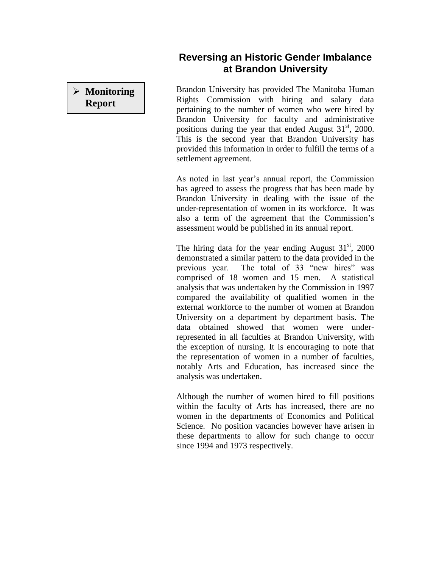## **Reversing an Historic Gender Imbalance at Brandon University**

 **Monitoring Report**

Brandon University has provided The Manitoba Human Rights Commission with hiring and salary data pertaining to the number of women who were hired by Brandon University for faculty and administrative positions during the year that ended August  $31<sup>st</sup>$ , 2000. This is the second year that Brandon University has provided this information in order to fulfill the terms of a settlement agreement.

As noted in last year's annual report, the Commission has agreed to assess the progress that has been made by Brandon University in dealing with the issue of the under-representation of women in its workforce. It was also a term of the agreement that the Commission's assessment would be published in its annual report.

The hiring data for the year ending August  $31<sup>st</sup>$ , 2000 demonstrated a similar pattern to the data provided in the previous year. The total of 33 "new hires" was comprised of 18 women and 15 men. A statistical analysis that was undertaken by the Commission in 1997 compared the availability of qualified women in the external workforce to the number of women at Brandon University on a department by department basis. The data obtained showed that women were underrepresented in all faculties at Brandon University, with the exception of nursing. It is encouraging to note that the representation of women in a number of faculties, notably Arts and Education, has increased since the analysis was undertaken.

Although the number of women hired to fill positions within the faculty of Arts has increased, there are no women in the departments of Economics and Political Science. No position vacancies however have arisen in these departments to allow for such change to occur since 1994 and 1973 respectively.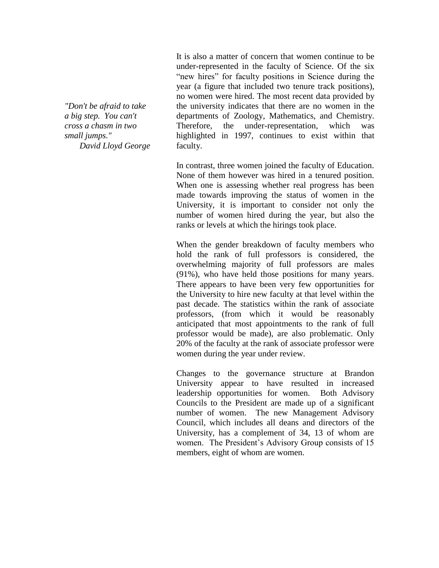It is also a matter of concern that women continue to be under-represented in the faculty of Science. Of the six "new hires" for faculty positions in Science during the year (a figure that included two tenure track positions), no women were hired. The most recent data provided by the university indicates that there are no women in the departments of Zoology, Mathematics, and Chemistry. Therefore, the under-representation, which was highlighted in 1997, continues to exist within that faculty.

In contrast, three women joined the faculty of Education. None of them however was hired in a tenured position. When one is assessing whether real progress has been made towards improving the status of women in the University, it is important to consider not only the number of women hired during the year, but also the ranks or levels at which the hirings took place.

When the gender breakdown of faculty members who hold the rank of full professors is considered, the overwhelming majority of full professors are males (91%), who have held those positions for many years. There appears to have been very few opportunities for the University to hire new faculty at that level within the past decade. The statistics within the rank of associate professors, (from which it would be reasonably anticipated that most appointments to the rank of full professor would be made), are also problematic. Only 20% of the faculty at the rank of associate professor were women during the year under review.

Changes to the governance structure at Brandon University appear to have resulted in increased leadership opportunities for women. Both Advisory Councils to the President are made up of a significant number of women. The new Management Advisory Council, which includes all deans and directors of the University, has a complement of 34, 13 of whom are women. The President's Advisory Group consists of 15 members, eight of whom are women.

*"Don't be afraid to take a big step. You can't cross a chasm in two small jumps." David Lloyd George*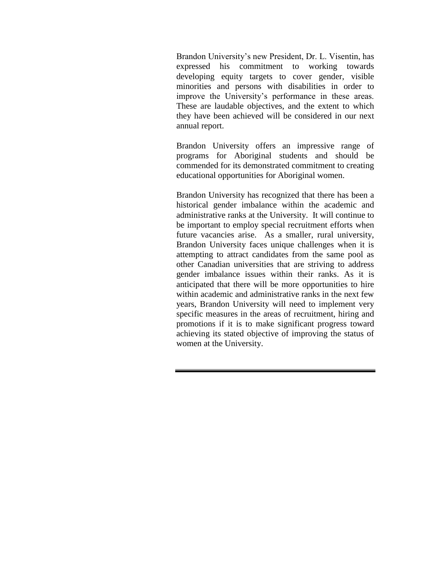Brandon University's new President, Dr. L. Visentin, has expressed his commitment to working towards developing equity targets to cover gender, visible minorities and persons with disabilities in order to improve the University's performance in these areas. These are laudable objectives, and the extent to which they have been achieved will be considered in our next annual report.

Brandon University offers an impressive range of programs for Aboriginal students and should be commended for its demonstrated commitment to creating educational opportunities for Aboriginal women.

Brandon University has recognized that there has been a historical gender imbalance within the academic and administrative ranks at the University. It will continue to be important to employ special recruitment efforts when future vacancies arise. As a smaller, rural university, Brandon University faces unique challenges when it is attempting to attract candidates from the same pool as other Canadian universities that are striving to address gender imbalance issues within their ranks. As it is anticipated that there will be more opportunities to hire within academic and administrative ranks in the next few years, Brandon University will need to implement very specific measures in the areas of recruitment, hiring and promotions if it is to make significant progress toward achieving its stated objective of improving the status of women at the University.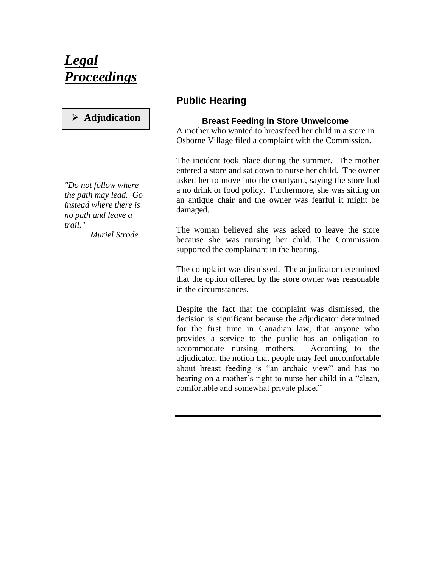# *Legal Proceedings*

## **Adjudication**

*"Do not follow where the path may lead. Go instead where there is no path and leave a trail."*

*Muriel Strode*

## **Public Hearing**

#### **Breast Feeding in Store Unwelcome**

A mother who wanted to breastfeed her child in a store in Osborne Village filed a complaint with the Commission.

The incident took place during the summer. The mother entered a store and sat down to nurse her child. The owner asked her to move into the courtyard, saying the store had a no drink or food policy. Furthermore, she was sitting on an antique chair and the owner was fearful it might be damaged.

The woman believed she was asked to leave the store because she was nursing her child. The Commission supported the complainant in the hearing.

The complaint was dismissed. The adjudicator determined that the option offered by the store owner was reasonable in the circumstances.

Despite the fact that the complaint was dismissed, the decision is significant because the adjudicator determined for the first time in Canadian law, that anyone who provides a service to the public has an obligation to accommodate nursing mothers. According to the adjudicator, the notion that people may feel uncomfortable about breast feeding is "an archaic view" and has no bearing on a mother's right to nurse her child in a "clean, comfortable and somewhat private place."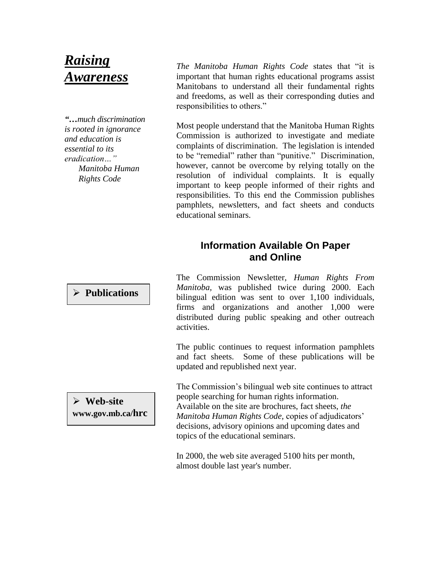# *Raising Awareness*

*"…much discrimination is rooted in ignorance and education is essential to its eradication…" Manitoba Human Rights Code*

*The Manitoba Human Rights Code* states that "it is important that human rights educational programs assist Manitobans to understand all their fundamental rights and freedoms, as well as their corresponding duties and responsibilities to others."

Most people understand that the Manitoba Human Rights Commission is authorized to investigate and mediate complaints of discrimination. The legislation is intended to be "remedial" rather than "punitive." Discrimination, however, cannot be overcome by relying totally on the resolution of individual complaints. It is equally important to keep people informed of their rights and responsibilities. To this end the Commission publishes pamphlets, newsletters, and fact sheets and conducts educational seminars.

## **Information Available On Paper and Online**

**Publications**

The Commission Newsletter, *Human Rights From Manitoba,* was published twice during 2000. Each bilingual edition was sent to over 1,100 individuals, firms and organizations and another 1,000 were distributed during public speaking and other outreach activities.

The public continues to request information pamphlets and fact sheets. Some of these publications will be updated and republished next year.

The Commission's bilingual web site continues to attract people searching for human rights information. Available on the site are brochures, fact sheets, *the Manitoba Human Rights Code,* copies of adjudicators' decisions, advisory opinions and upcoming dates and topics of the educational seminars.

In 2000, the web site averaged 5100 hits per month, almost double last year's number.

 **Web-site www.gov.mb.ca/hrc**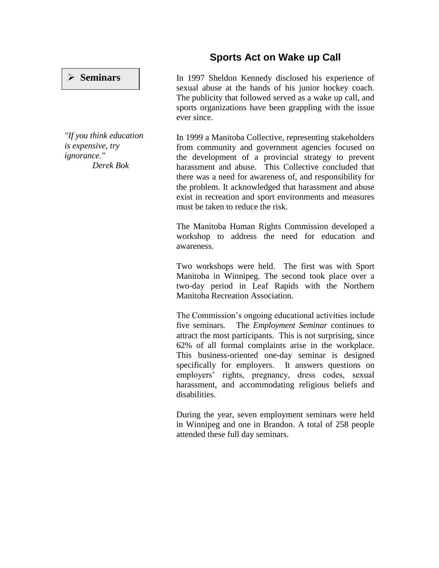### **Seminars**

*"If you think education is expensive, try ignorance." Derek Bok*

## **Sports Act on Wake up Call**

In 1997 Sheldon Kennedy disclosed his experience of sexual abuse at the hands of his junior hockey coach. The publicity that followed served as a wake up call, and sports organizations have been grappling with the issue ever since.

In 1999 a Manitoba Collective, representing stakeholders from community and government agencies focused on the development of a provincial strategy to prevent harassment and abuse. This Collective concluded that there was a need for awareness of, and responsibility for the problem. It acknowledged that harassment and abuse exist in recreation and sport environments and measures must be taken to reduce the risk.

The Manitoba Human Rights Commission developed a workshop to address the need for education and awareness.

Two workshops were held. The first was with Sport Manitoba in Winnipeg. The second took place over a two-day period in Leaf Rapids with the Northern Manitoba Recreation Association.

The Commission's ongoing educational activities include five seminars. The *Employment Seminar* continues to attract the most participants. This is not surprising, since 62% of all formal complaints arise in the workplace. This business-oriented one-day seminar is designed specifically for employers. It answers questions on employers' rights, pregnancy, dress codes, sexual harassment, and accommodating religious beliefs and disabilities.

During the year, seven employment seminars were held in Winnipeg and one in Brandon. A total of 258 people attended these full day seminars.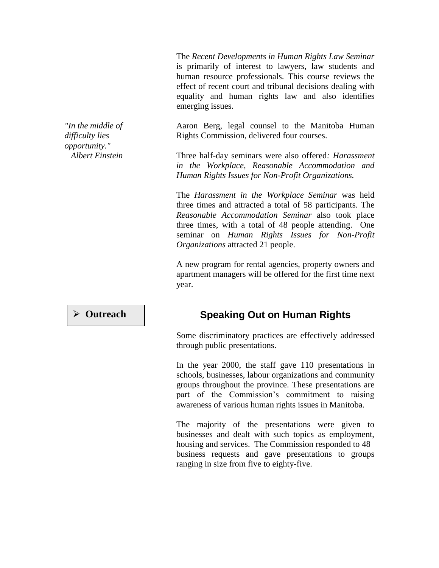The *Recent Developments in Human Rights Law Seminar*  is primarily of interest to lawyers, law students and human resource professionals. This course reviews the effect of recent court and tribunal decisions dealing with equality and human rights law and also identifies emerging issues.

Aaron Berg, legal counsel to the Manitoba Human Rights Commission, delivered four courses.

Three half-day seminars were also offered*: Harassment in the Workplace, Reasonable Accommodation and Human Rights Issues for Non-Profit Organizations.*

The *Harassment in the Workplace Seminar* was held three times and attracted a total of 58 participants. The *Reasonable Accommodation Seminar* also took place three times, with a total of 48 people attending. One seminar on *Human Rights Issues for Non-Profit Organizations* attracted 21 people.

A new program for rental agencies, property owners and apartment managers will be offered for the first time next year.

## **Speaking Out on Human Rights**

Some discriminatory practices are effectively addressed through public presentations.

In the year 2000, the staff gave 110 presentations in schools, businesses, labour organizations and community groups throughout the province. These presentations are part of the Commission's commitment to raising awareness of various human rights issues in Manitoba.

The majority of the presentations were given to businesses and dealt with such topics as employment, housing and services. The Commission responded to 48 business requests and gave presentations to groups ranging in size from five to eighty-five.

*"In the middle of difficulty lies opportunity." Albert Einstein*

## **Outreach**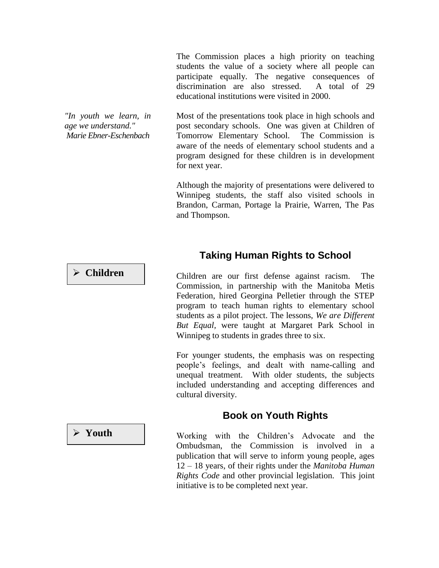The Commission places a high priority on teaching students the value of a society where all people can participate equally. The negative consequences of discrimination are also stressed. A total of 29 educational institutions were visited in 2000.

Most of the presentations took place in high schools and post secondary schools. One was given at Children of Tomorrow Elementary School. The Commission is aware of the needs of elementary school students and a program designed for these children is in development for next year.

Although the majority of presentations were delivered to Winnipeg students, the staff also visited schools in Brandon, Carman, Portage la Prairie, Warren, The Pas and Thompson.

## **Taking Human Rights to School**

Children are our first defense against racism. The Commission, in partnership with the Manitoba Metis Federation, hired Georgina Pelletier through the STEP program to teach human rights to elementary school students as a pilot project. The lessons, *We are Different But Equal,* were taught at Margaret Park School in Winnipeg to students in grades three to six.

For younger students, the emphasis was on respecting people's feelings, and dealt with name-calling and unequal treatment. With older students, the subjects included understanding and accepting differences and cultural diversity.

### **Book on Youth Rights**

Working with the Children's Advocate and the Ombudsman, the Commission is involved in a publication that will serve to inform young people, ages 12 – 18 years, of their rights under the *Manitoba Human Rights Code* and other provincial legislation. This joint initiative is to be completed next year.

*"In youth we learn, in age we understand." Marie Ebner-Eschenbach*

## **Children**

### **Youth**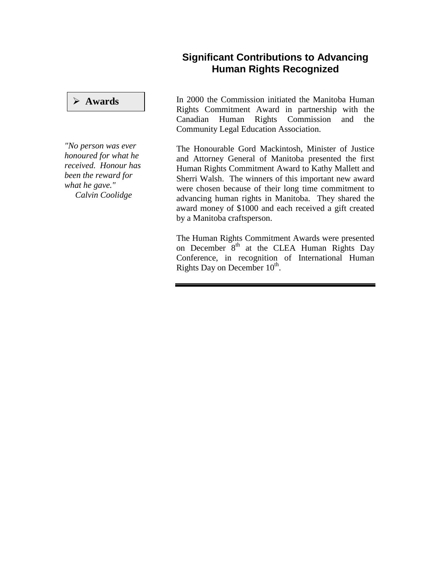## **Significant Contributions to Advancing Human Rights Recognized**

### **Awards**

*"No person was ever honoured for what he received. Honour has been the reward for what he gave." Calvin Coolidge*

In 2000 the Commission initiated the Manitoba Human Rights Commitment Award in partnership with the Canadian Human Rights Commission and the Community Legal Education Association.

The Honourable Gord Mackintosh, Minister of Justice and Attorney General of Manitoba presented the first Human Rights Commitment Award to Kathy Mallett and Sherri Walsh. The winners of this important new award were chosen because of their long time commitment to advancing human rights in Manitoba. They shared the award money of \$1000 and each received a gift created by a Manitoba craftsperson.

The Human Rights Commitment Awards were presented on December 8<sup>th</sup> at the CLEA Human Rights Day Conference, in recognition of International Human Rights Day on December 10<sup>th</sup>.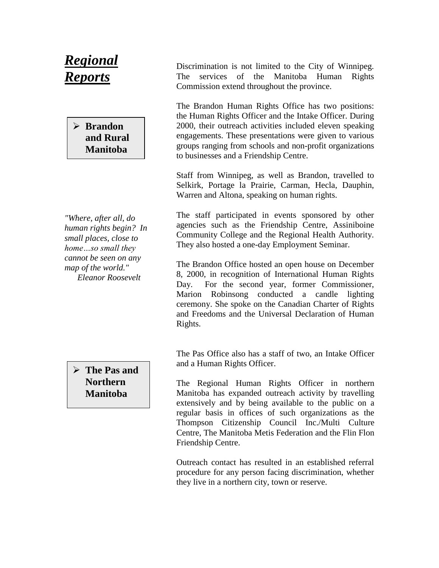# *Regional Reports*

 **Brandon and Rural Manitoba**

*"Where, after all, do human rights begin? In small places, close to home…so small they cannot be seen on any map of the world." Eleanor Roosevelt*

## **The Pas and Northern Manitoba**

Discrimination is not limited to the City of Winnipeg. The services of the Manitoba Human Rights Commission extend throughout the province.

The Brandon Human Rights Office has two positions: the Human Rights Officer and the Intake Officer. During 2000, their outreach activities included eleven speaking engagements. These presentations were given to various groups ranging from schools and non-profit organizations to businesses and a Friendship Centre.

Staff from Winnipeg, as well as Brandon, travelled to Selkirk, Portage la Prairie, Carman, Hecla, Dauphin, Warren and Altona, speaking on human rights.

The staff participated in events sponsored by other agencies such as the Friendship Centre, Assiniboine Community College and the Regional Health Authority. They also hosted a one-day Employment Seminar.

The Brandon Office hosted an open house on December 8, 2000, in recognition of International Human Rights Day. For the second year, former Commissioner, Marion Robinsong conducted a candle lighting ceremony. She spoke on the Canadian Charter of Rights and Freedoms and the Universal Declaration of Human Rights.

The Pas Office also has a staff of two, an Intake Officer and a Human Rights Officer.

The Regional Human Rights Officer in northern Manitoba has expanded outreach activity by travelling extensively and by being available to the public on a regular basis in offices of such organizations as the Thompson Citizenship Council Inc./Multi Culture Centre, The Manitoba Metis Federation and the Flin Flon Friendship Centre.

Outreach contact has resulted in an established referral procedure for any person facing discrimination, whether they live in a northern city, town or reserve.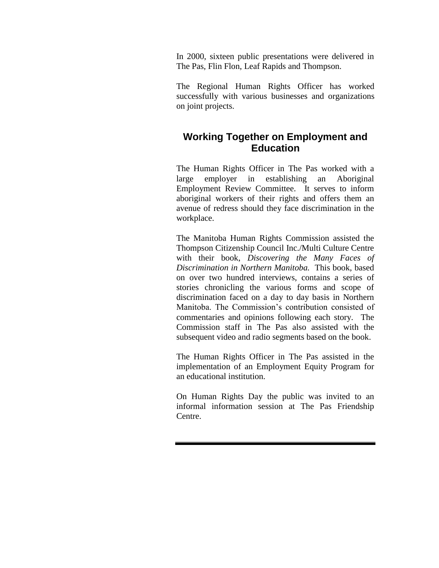In 2000, sixteen public presentations were delivered in The Pas, Flin Flon, Leaf Rapids and Thompson.

The Regional Human Rights Officer has worked successfully with various businesses and organizations on joint projects.

## **Working Together on Employment and Education**

The Human Rights Officer in The Pas worked with a large employer in establishing an Aboriginal Employment Review Committee. It serves to inform aboriginal workers of their rights and offers them an avenue of redress should they face discrimination in the workplace.

The Manitoba Human Rights Commission assisted the Thompson Citizenship Council Inc./Multi Culture Centre with their book, *Discovering the Many Faces of Discrimination in Northern Manitoba.* This book, based on over two hundred interviews, contains a series of stories chronicling the various forms and scope of discrimination faced on a day to day basis in Northern Manitoba. The Commission's contribution consisted of commentaries and opinions following each story. The Commission staff in The Pas also assisted with the subsequent video and radio segments based on the book.

The Human Rights Officer in The Pas assisted in the implementation of an Employment Equity Program for an educational institution.

On Human Rights Day the public was invited to an informal information session at The Pas Friendship Centre.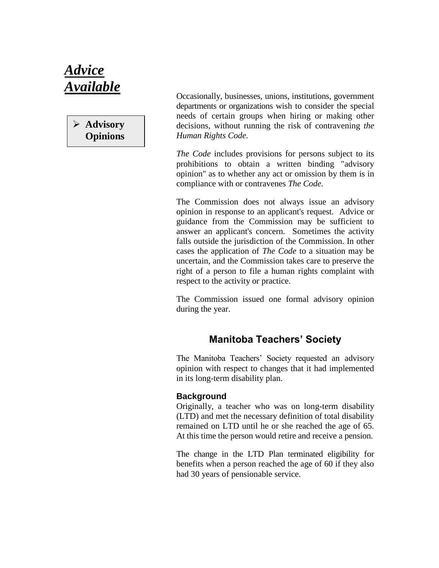## *Advice Available*

## **Advisory Opinions**

Occasionally, businesses, unions, institutions, government departments or organizations wish to consider the special needs of certain groups when hiring or making other decisions, without running the risk of contravening *the Human Rights Code.* 

*The Code* includes provisions for persons subject to its prohibitions to obtain a written binding "advisory opinion" as to whether any act or omission by them is in compliance with or contravenes *The Code.* 

The Commission does not always issue an advisory opinion in response to an applicant's request. Advice or guidance from the Commission may be sufficient to answer an applicant's concern. Sometimes the activity falls outside the jurisdiction of the Commission. In other cases the application of *The Code* to a situation may be uncertain, and the Commission takes care to preserve the right of a person to file a human rights complaint with respect to the activity or practice.

The Commission issued one formal advisory opinion during the year.

## **Manitoba Teachers' Society**

The Manitoba Teachers' Society requested an advisory opinion with respect to changes that it had implemented in its long-term disability plan.

### **Background**

Originally, a teacher who was on long-term disability (LTD) and met the necessary definition of total disability remained on LTD until he or she reached the age of 65. At this time the person would retire and receive a pension.

The change in the LTD Plan terminated eligibility for benefits when a person reached the age of 60 if they also had 30 years of pensionable service.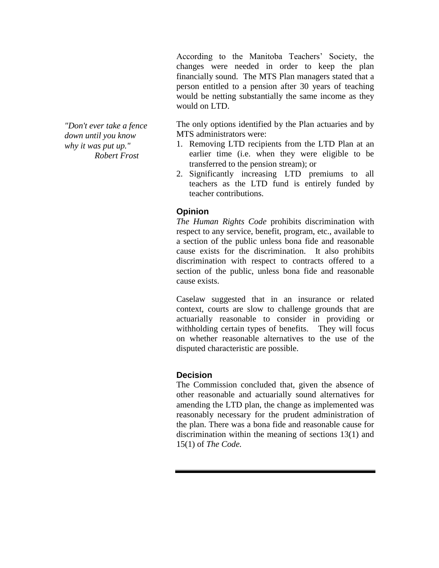According to the Manitoba Teachers' Society, the changes were needed in order to keep the plan financially sound. The MTS Plan managers stated that a person entitled to a pension after 30 years of teaching would be netting substantially the same income as they would on LTD.

The only options identified by the Plan actuaries and by MTS administrators were:

- 1. Removing LTD recipients from the LTD Plan at an earlier time (i.e. when they were eligible to be transferred to the pension stream); or
- 2. Significantly increasing LTD premiums to all teachers as the LTD fund is entirely funded by teacher contributions.

### **Opinion**

*The Human Rights Code* prohibits discrimination with respect to any service, benefit, program, etc., available to a section of the public unless bona fide and reasonable cause exists for the discrimination. It also prohibits discrimination with respect to contracts offered to a section of the public, unless bona fide and reasonable cause exists.

Caselaw suggested that in an insurance or related context, courts are slow to challenge grounds that are actuarially reasonable to consider in providing or withholding certain types of benefits. They will focus on whether reasonable alternatives to the use of the disputed characteristic are possible.

#### **Decision**

The Commission concluded that, given the absence of other reasonable and actuarially sound alternatives for amending the LTD plan, the change as implemented was reasonably necessary for the prudent administration of the plan. There was a bona fide and reasonable cause for discrimination within the meaning of sections 13(1) and 15(1) of *The Code.*

*"Don't ever take a fence down until you know why it was put up." Robert Frost*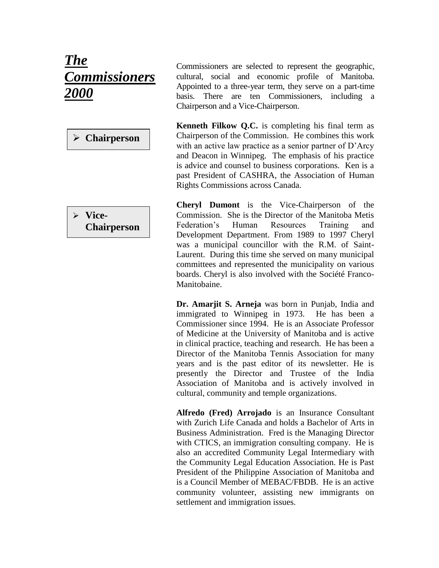## *The Commissioners 2000*

**Chairperson**

 **Vice-Chairperson**

Commissioners are selected to represent the geographic, cultural, social and economic profile of Manitoba. Appointed to a three-year term, they serve on a part-time basis. There are ten Commissioners, including a Chairperson and a Vice-Chairperson.

**Kenneth Filkow Q.C.** is completing his final term as Chairperson of the Commission. He combines this work with an active law practice as a senior partner of D'Arcy and Deacon in Winnipeg. The emphasis of his practice is advice and counsel to business corporations. Ken is a past President of CASHRA, the Association of Human Rights Commissions across Canada.

**Cheryl Dumont** is the Vice-Chairperson of the Commission. She is the Director of the Manitoba Metis Federation's Human Resources Training and Development Department. From 1989 to 1997 Cheryl was a municipal councillor with the R.M. of Saint-Laurent. During this time she served on many municipal committees and represented the municipality on various boards. Cheryl is also involved with the Société Franco-Manitobaine.

**Dr. Amarjit S. Arneja** was born in Punjab, India and immigrated to Winnipeg in 1973. He has been a Commissioner since 1994. He is an Associate Professor of Medicine at the University of Manitoba and is active in clinical practice, teaching and research. He has been a Director of the Manitoba Tennis Association for many years and is the past editor of its newsletter. He is presently the Director and Trustee of the India Association of Manitoba and is actively involved in cultural, community and temple organizations.

**Alfredo (Fred) Arrojado** is an Insurance Consultant with Zurich Life Canada and holds a Bachelor of Arts in Business Administration. Fred is the Managing Director with CTICS, an immigration consulting company. He is also an accredited Community Legal Intermediary with the Community Legal Education Association. He is Past President of the Philippine Association of Manitoba and is a Council Member of MEBAC/FBDB. He is an active community volunteer, assisting new immigrants on settlement and immigration issues.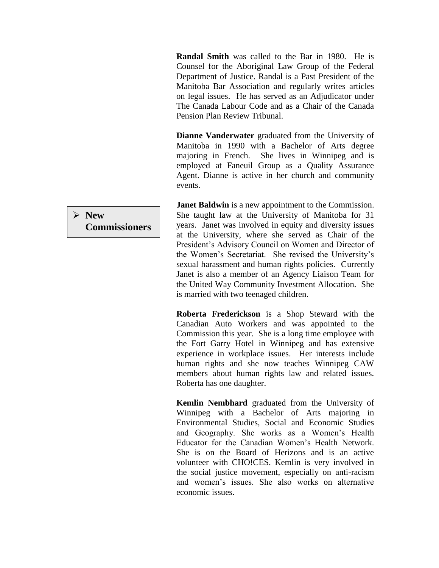**Randal Smith** was called to the Bar in 1980. He is Counsel for the Aboriginal Law Group of the Federal Department of Justice. Randal is a Past President of the Manitoba Bar Association and regularly writes articles on legal issues. He has served as an Adjudicator under The Canada Labour Code and as a Chair of the Canada Pension Plan Review Tribunal.

**Dianne Vanderwater** graduated from the University of Manitoba in 1990 with a Bachelor of Arts degree majoring in French. She lives in Winnipeg and is employed at Faneuil Group as a Quality Assurance Agent. Dianne is active in her church and community events.

**Janet Baldwin** is a new appointment to the Commission. She taught law at the University of Manitoba for 31 years. Janet was involved in equity and diversity issues at the University, where she served as Chair of the President's Advisory Council on Women and Director of the Women's Secretariat. She revised the University's sexual harassment and human rights policies. Currently Janet is also a member of an Agency Liaison Team for the United Way Community Investment Allocation. She is married with two teenaged children.

**Roberta Frederickson** is a Shop Steward with the Canadian Auto Workers and was appointed to the Commission this year. She is a long time employee with the Fort Garry Hotel in Winnipeg and has extensive experience in workplace issues. Her interests include human rights and she now teaches Winnipeg CAW members about human rights law and related issues. Roberta has one daughter.

**Kemlin Nembhard** graduated from the University of Winnipeg with a Bachelor of Arts majoring in Environmental Studies, Social and Economic Studies and Geography. She works as a Women's Health Educator for the Canadian Women's Health Network. She is on the Board of Herizons and is an active volunteer with CHO!CES. Kemlin is very involved in the social justice movement, especially on anti-racism and women's issues. She also works on alternative economic issues.

 $\triangleright$  New **Commissioners**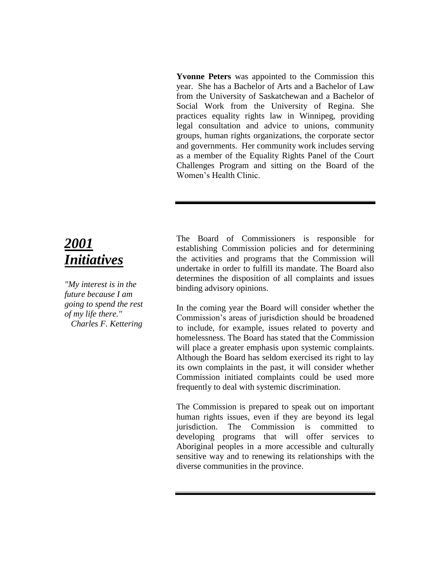**Yvonne Peters** was appointed to the Commission this year. She has a Bachelor of Arts and a Bachelor of Law from the University of Saskatchewan and a Bachelor of Social Work from the University of Regina. She practices equality rights law in Winnipeg, providing legal consultation and advice to unions, community groups, human rights organizations, the corporate sector and governments. Her community work includes serving as a member of the Equality Rights Panel of the Court Challenges Program and sitting on the Board of the Women's Health Clinic.

# *2001 Initiatives*

*"My interest is in the future because I am going to spend the rest of my life there." Charles F. Kettering*

The Board of Commissioners is responsible for establishing Commission policies and for determining the activities and programs that the Commission will undertake in order to fulfill its mandate. The Board also determines the disposition of all complaints and issues binding advisory opinions.

In the coming year the Board will consider whether the Commission's areas of jurisdiction should be broadened to include, for example, issues related to poverty and homelessness. The Board has stated that the Commission will place a greater emphasis upon systemic complaints. Although the Board has seldom exercised its right to lay its own complaints in the past, it will consider whether Commission initiated complaints could be used more frequently to deal with systemic discrimination.

The Commission is prepared to speak out on important human rights issues, even if they are beyond its legal jurisdiction. The Commission is committed to developing programs that will offer services to Aboriginal peoples in a more accessible and culturally sensitive way and to renewing its relationships with the diverse communities in the province.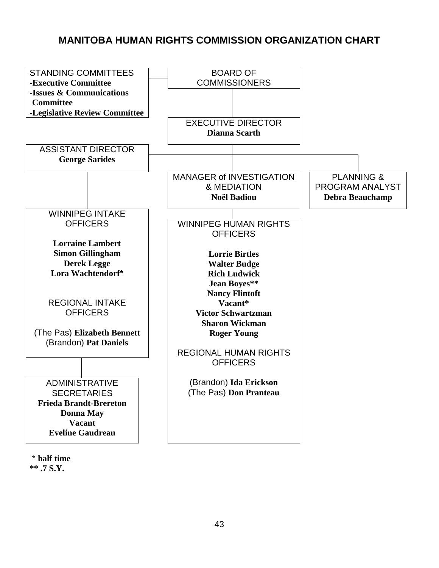## **MANITOBA HUMAN RIGHTS COMMISSION ORGANIZATION CHART**



**\*\* .7 S.Y.**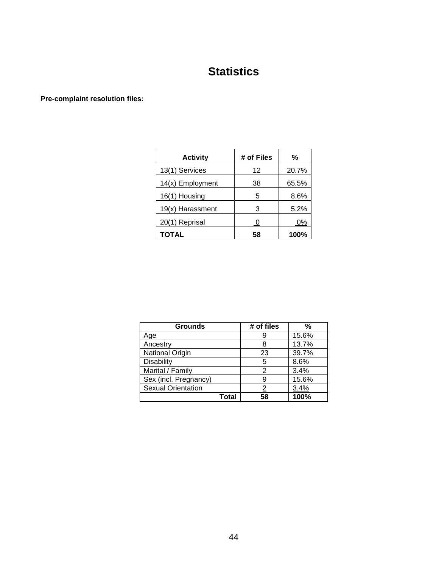## **Statistics**

### **Pre-complaint resolution files:**

| <b>Activity</b>  | # of Files | %     |
|------------------|------------|-------|
| 13(1) Services   | 12         | 20.7% |
| 14(x) Employment | 38         | 65.5% |
| 16(1) Housing    | 5          | 8.6%  |
| 19(x) Harassment | 3          | 5.2%  |
| 20(1) Reprisal   |            | 0%    |
| <b>TOTAL</b>     | 58         | 100%  |

| <b>Grounds</b>            |       | # of files | %     |
|---------------------------|-------|------------|-------|
| Age                       |       |            | 15.6% |
| Ancestry                  |       | 8          | 13.7% |
| National Origin           |       | 23         | 39.7% |
| Disability                |       | 5          | 8.6%  |
| Marital / Family          |       | 2          | 3.4%  |
| Sex (incl. Pregnancy)     |       | g          | 15.6% |
| <b>Sexual Orientation</b> |       |            | 3.4%  |
|                           | Total | 58         | 100%  |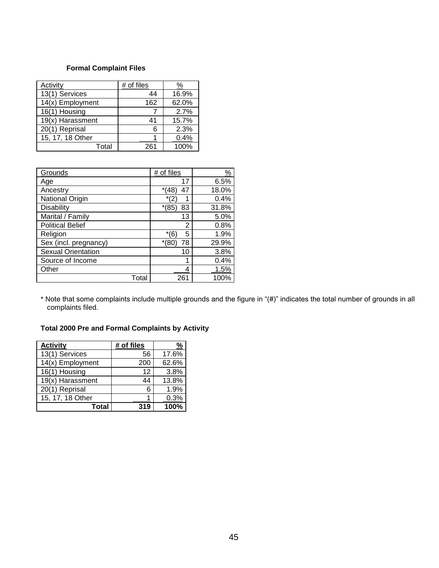### **Formal Complaint Files**

| <b>Activity</b>  | # of files | $\frac{0}{2}$ |
|------------------|------------|---------------|
| 13(1) Services   | 44         | 16.9%         |
| 14(x) Employment | 162        | 62.0%         |
| 16(1) Housing    |            | 2.7%          |
| 19(x) Harassment | 41         | 15.7%         |
| 20(1) Reprisal   | 6          | 2.3%          |
| 15, 17, 18 Other |            | 0.4%          |
| Total            | 261        | 100%          |

| Grounds                   |       | # of files    | $\frac{9}{6}$ |
|---------------------------|-------|---------------|---------------|
| Age                       |       | 17            | 6.5%          |
| Ancestry                  |       | $*(48)$<br>47 | 18.0%         |
| National Origin           |       | $^*(2)$       | 0.4%          |
| <b>Disability</b>         |       | $*(85$<br>83  | 31.8%         |
| Marital / Family          |       | 13            | 5.0%          |
| <b>Political Belief</b>   |       | 2             | 0.8%          |
| Religion                  |       | $*(6)$<br>5   | 1.9%          |
| Sex (incl. pregnancy)     |       | *(80<br>78    | 29.9%         |
| <b>Sexual Orientation</b> |       | 10            | 3.8%          |
| Source of Income          |       |               | 0.4%          |
| Other                     |       | 4             | 1.5%          |
|                           | Total | 261           | 100%          |

\* Note that some complaints include multiple grounds and the figure in "(#)" indicates the total number of grounds in all complaints filed.

### **Total 2000 Pre and Formal Complaints by Activity**

| <b>Activity</b>  | # of files | <u>%</u> |
|------------------|------------|----------|
| 13(1) Services   | 56         | 17.6%    |
| 14(x) Employment | 200        | 62.6%    |
| 16(1) Housing    | 12         | 3.8%     |
| 19(x) Harassment | 44         | 13.8%    |
| 20(1) Reprisal   | 6          | 1.9%     |
| 15, 17, 18 Other |            | 0.3%     |
| Total            | 319        | 100%     |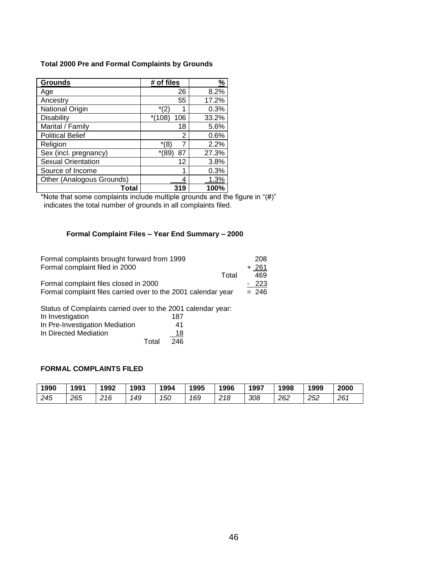### **Total 2000 Pre and Formal Complaints by Grounds**

| <b>Grounds</b>            | # of files   | <u>%</u> |
|---------------------------|--------------|----------|
| Age                       | 26           | 8.2%     |
| Ancestry                  | 55           | 17.2%    |
| National Origin           | *(2`<br>1    | 0.3%     |
| <b>Disability</b>         | *(108<br>106 | 33.2%    |
| Marital / Family          | 18           | 5.6%     |
| <b>Political Belief</b>   | 2            | 0.6%     |
| Religion                  | $*(8)$<br>7  | 2.2%     |
| Sex (incl. pregnancy)     | *(89)<br>87  | 27.3%    |
| <b>Sexual Orientation</b> | 12           | 3.8%     |
| Source of Income          | 1            | 0.3%     |
| Other (Analogous Grounds) | 4            | 1.3%     |
| Total                     | 319          | 100%     |

\*Note that some complaints include multiple grounds and the figure in "(#)" indicates the total number of grounds in all complaints filed.

### **Formal Complaint Files – Year End Summary – 2000**

| Formal complaints brought forward from 1999                   |       | 208     |
|---------------------------------------------------------------|-------|---------|
| Formal complaint filed in 2000                                |       | $+261$  |
|                                                               | Total | 469     |
| Formal complaint files closed in 2000                         |       | 223     |
| Formal complaint files carried over to the 2001 calendar year |       | $= 246$ |
| Status of Complaints carried over to the 2001 calendar year:  |       |         |
| In Investigation                                              | 187   |         |
| In Pre-Investigation Mediation                                | 41    |         |
| In Directed Mediation                                         | 18    |         |

Total  $\frac{18}{246}$ 

| <b>FORMAL COMPLAINTS FILED</b> |  |
|--------------------------------|--|

| 1990 | 1991 | 1992 | 1993 | 1994 | 1995 | 1996 | 1997 | 1998 | 1999 | 2000 |
|------|------|------|------|------|------|------|------|------|------|------|
| 245  | 265  | 216  | 149  | 150  | 169  | 218  | 308  | 262  | 252  | 261  |